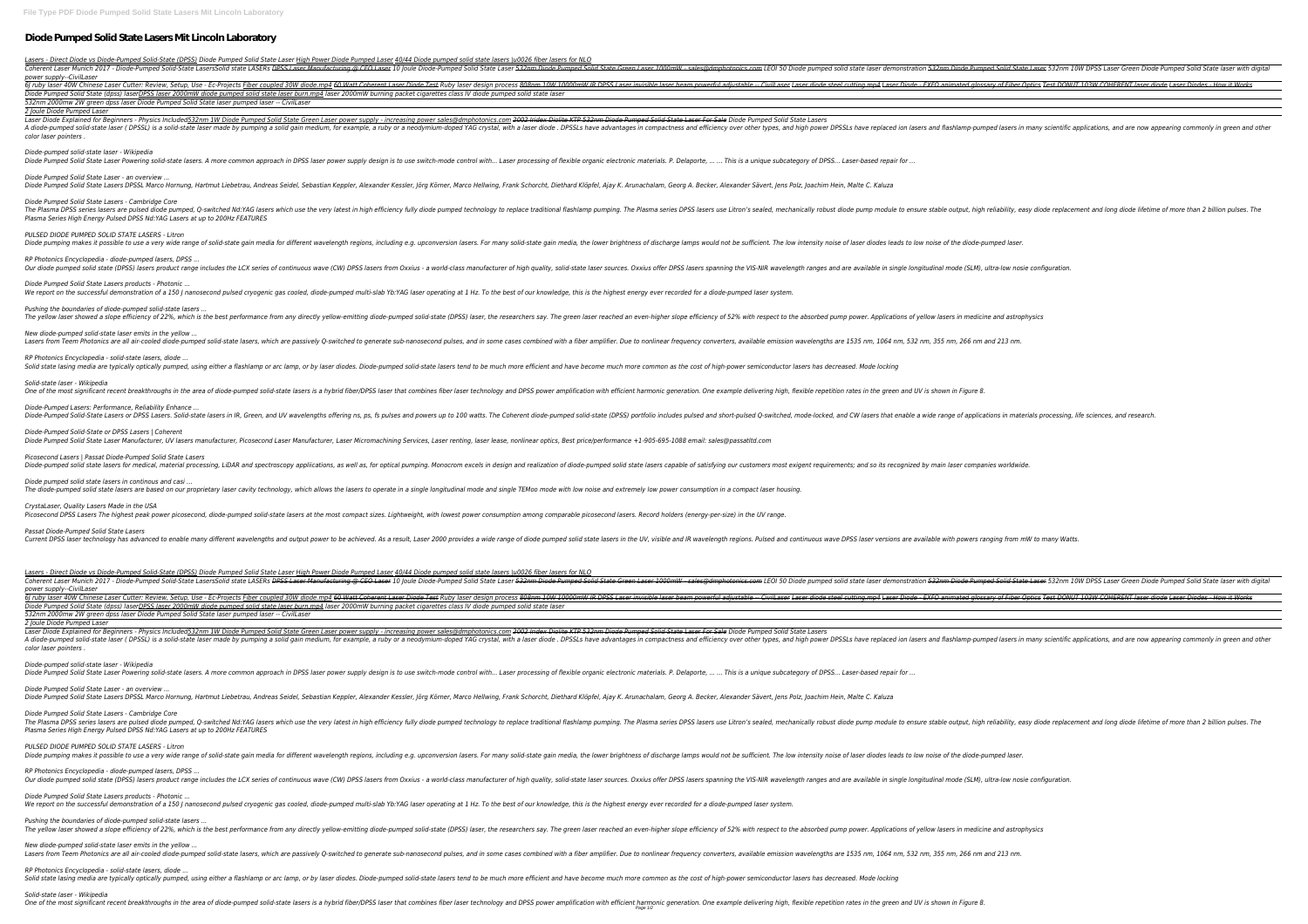# **Diode Pumped Solid State Lasers Mit Lincoln Laboratory**

*Lasers - Direct Diode vs Diode-Pumped Solid-State (DPSS) Diode Pumped Solid State Laser High Power Diode Pumped Laser 40/44 Diode pumped solid state lasers \u0026 fiber lasers for NLO* Coherent Laser Munich 2017 - Diode-Pumped Solid-State LasersSolid state LASERs <del>DPSS Laser Manufacturing @ CEO Laser</del> 10 Joule Diode-Pumped Solid State Green Laser 1000mW - sales@dmphotonics.com LEOI 50 Diode Pumped Solid *power supply--CivilLaser*

| power supply-civil aser<br>Diode Pumped Solid State (dpss) laserDPSS laser 2000mW diode pumped solid state laser burn.mp4 laser 2000mW burning packet cigarettes class IV diode pumped solid state laser<br>532nm 2000mw 2W green dpss laser Diode Pumped Solid State laser pumped laser -- CivilLaser                                                                                                                                                                                                                  |
|-------------------------------------------------------------------------------------------------------------------------------------------------------------------------------------------------------------------------------------------------------------------------------------------------------------------------------------------------------------------------------------------------------------------------------------------------------------------------------------------------------------------------|
| 2 Joule Diode Pumped Laser<br>Laser Diode Explained for Beginners - Physics Included 532nm 1W Diode Pumped Solid State Green Laser power supply - increasing power sales@dmphotonics.com 2002 Iridex Diolite KTP 532nm Diode Pumped Solid-State Laser For Sa                                                                                                                                                                                                                                                            |
| A diode-pumped solid-state laser ( DPSSL) is a solid-state laser made by pumping a solid gain medium, for example, a ruby or a neodymium-doped YAG crystal, with a laser diode . DPSSLs have replaced ion lasers and flashlamp<br>color laser pointers.                                                                                                                                                                                                                                                                 |
| Diode-pumped solid-state laser - Wikipedia<br>Diode Pumped Solid State Laser Powering solid-state lasers. A more common approach in DPSS laser power supply design is to use switch-mode control with Laser processing of flexible organic electronic materials. P. Delap                                                                                                                                                                                                                                               |
| Diode Pumped Solid State Laser - an overview<br>Diode Pumped Solid State Lasers DPSSL Marco Hornung, Hartmut Liebetrau, Andreas Seidel, Sebastian Keppler, Alexander Kessler, Jörg Körner, Marco Hellwing, Frank Schorcht, Diethard Klöpfel, Ajay K. Arunachalam, Georg A. Bec                                                                                                                                                                                                                                          |
| Diode Pumped Solid State Lasers - Cambridge Core<br>The Plasma DPSS series lasers are pulsed diode pumped, Q-switched Nd:YAG lasers which use the very latest in high efficiency fully diode pump module to ensure stable output, high reliability, easy diode replacement and lon<br>Plasma Series High Energy Pulsed DPSS Nd:YAG Lasers at up to 200Hz FEATURES                                                                                                                                                       |
| PULSED DIODE PUMPED SOLID STATE LASERS - Litron<br>Diode pumping makes it possible to use a very wide range of solid-state gain media for different wavelength regions, including e.g. upconversion lasers. For many solid-state gain media, the lower brightness of discharge la                                                                                                                                                                                                                                       |
| RP Photonics Encyclopedia - diode-pumped lasers, DPSS<br>Our diode pumped solid state (DPSS) lasers product range includes the LCX series of continuous wave (CW) DPSS lasers from Oxxius - a world-class manufacturer of high quality, solid-state laser sources. Oxxius offer DPSS la                                                                                                                                                                                                                                 |
| Diode Pumped Solid State Lasers products - Photonic<br>We report on the successful demonstration of a 150 J nanosecond pulsed cryogenic gas cooled, diode-pumped multi-slab Yb:YAG laser operating at 1 Hz. To the best of our knowledge, this is the highest energy ever recorded fo                                                                                                                                                                                                                                   |
| Pushing the boundaries of diode-pumped solid-state lasers<br>The yellow laser showed a slope efficiency of 22%, which is the best performance from any directly yellow-emitting diode-pumped solid-state (DPSS) laser, the researchers say. The green laser reached an even-higher slope ef                                                                                                                                                                                                                             |
| New diode-pumped solid-state laser emits in the yellow<br>Lasers from Teem Photonics are all air-cooled diode-pumped solid-state lasers, which are passively Q-switched to generate sub-nanosecond pulses, and in some cases combined with a fiber amplifier. Due to nonlinear frequency                                                                                                                                                                                                                                |
| RP Photonics Encyclopedia - solid-state lasers, diode<br>Solid state lasing media are typically optically pumped, using either a flashlamp or arc lamp, or by laser diodes. Diode-pumped solid-state lasers tend to be much more efficient and have become much more common as the cost                                                                                                                                                                                                                                 |
| Solid-state laser - Wikipedia<br>One of the most significant recent breakthroughs in the area of diode-pumped solid-state lasers is a hybrid fiber/DPSS laser that combines fiber laser technology and DPSS power amplification with efficient harmonic generat                                                                                                                                                                                                                                                         |
| Diode-Pumped Lasers: Performance, Reliability Enhance<br>Diode-Pumped Solid-State Lasers or DPSS Lasers. Solid-state lasers in IR, Green, and UV wavelengths offering ns, ps, fs pulses and powers up to 100 watts. The Coherent diode-pumped solid-state (DPSS) portfolio includes pul                                                                                                                                                                                                                                 |
| Diode-Pumped Solid-State or DPSS Lasers   Coherent<br>Diode Pumped Solid State Laser Manufacturer, UV lasers manufacturer, Picosecond Laser Manufacturer, Laser Micromachining Services, Laser renting, laser lease, nonlinear optics, Best price/performance +1-905-695-1088 email:                                                                                                                                                                                                                                    |
| Picosecond Lasers   Passat Diode-Pumped Solid State Lasers<br>Diode-pumped solid state lasers for medical, material processing, LiDAR and spectroscopy appliications, as well as, for optical pumping. Monocrom excels in design and realization of diode-pumped solid state lasers capable                                                                                                                                                                                                                             |
| Diode pumped solid state lasers in continous and casi<br>The diode-pumped solid state lasers are based on our proprietary laser cavity technology, which allows the lasers to operate in a single longitudinal mode and single TEMoo mode with low noise and extremely low power consum                                                                                                                                                                                                                                 |
| CrystaLaser, Quality Lasers Made in the USA<br>Picosecond DPSS Lasers The highest peak power picosecond, diode-pumped solid-state lasers at the most compact sizes. Lightweight, with lowest power consumption among comparable picosecond lasers. Record holders (energy-per                                                                                                                                                                                                                                           |
| Passat Diode-Pumped Solid State Lasers<br>Current DPSS laser technology has advanced to enable many different wavelengths and output power to be achieved. As a result, Laser 2000 provides a wide range of diode pumped solid state lasers in the UV, visible and IR wa                                                                                                                                                                                                                                                |
| Lasers - Direct Diode vs Diode-Pumped Solid-State (DPSS) Diode Pumped Solid State Laser High Power Diode Pumped Laser 40/44 Diode pumped solid state lasers \u0026 fiber lasers for NLO<br>Coherent Laser Munich 2017 - Diode-Pumped Solid-State LasersSolid state LASERs <del>DPSS Laser Manufacturing @ CEO Laser</del> 10 Joule Diode-Pumped Solid State Green Laser 1000mW - sales@dmphotonics.com LEOI 50 Diode Pumped Solid<br>power supply--CivilLaser                                                           |
| 6) ruby laser 40W Chinese Laser Cutter: Review, Setup, Use - Ec-Projects <u>Fiber coupled 30W diode.mp4</u> 60 Watt Coherent Laser Diode Test Ruby laser design process 808nm 10W 10000mW IR DPSS Laser invisible laser Diode - EXF<br>Diode Pumped Solid State (dpss) laserDPSS laser 2000mW diode pumped solid state laser burn.mp4 laser 2000mW burning packet cigarettes class IV diode pumped solid state laser<br>532nm 2000mw 2W green dpss laser Diode Pumped Solid State laser pumped laser -- CivilLaser      |
| 2 Joule Diode Pumped Laser<br>Laser Diode Explained for Beginners - Physics Included532nm 1W Diode Pumped Solid State Green Laser power supply - increasing power sales@dmphotonics.com 2002 Iridex Diolite KTP 532nm Diode Pumped Solid-State Laser For Sal<br>A diode-pumped solid-state laser ( DPSSL) is a solid-state laser made by pumping a solid gain medium, for example, a ruby or a neodymium-doped YAG crystal, with a laser diode . DPSSLs have replaced ion lasers and flashlamp<br>color laser pointers. |
| Diode-pumped solid-state laser - Wikipedia<br>Diode Pumped Solid State Laser Powering solid-state lasers. A more common approach in DPSS laser power supply design is to use switch-mode control with Laser processing of flexible organic electronic materials. P. Delap                                                                                                                                                                                                                                               |
| Diode Pumped Solid State Laser - an overview<br>Diode Pumped Solid State Lasers DPSSL Marco Hornung, Hartmut Liebetrau, Andreas Seidel, Sebastian Keppler, Alexander Kessler, Jörg Körner, Marco Hellwing, Frank Schorcht, Diethard Klöpfel, Ajay K. Arunachalam, Georg A. Bec                                                                                                                                                                                                                                          |
| Diode Pumped Solid State Lasers - Cambridge Core<br>The Plasma DPSS series lasers are pulsed diode pumped, Q-switched Nd:YAG lasers which use the very latest in high efficiency fully diode pump module to ensure stable output, high reliability, easy diode replacement and lon<br>Plasma Series High Energy Pulsed DPSS Nd:YAG Lasers at up to 200Hz FEATURES                                                                                                                                                       |
| PULSED DIODE PUMPED SOLID STATE LASERS - Litron<br>Diode pumping makes it possible to use a very wide range of solid-state gain media for different wavelength regions, including e.g. upconversion lasers. For many solid-state gain media, the lower brightness of discharge la                                                                                                                                                                                                                                       |
| RP Photonics Encyclopedia - diode-pumped lasers, DPSS<br>Our diode pumped solid state (DPSS) lasers product range includes the LCX series of continuous wave (CW) DPSS lasers from Oxxius - a world-class manufacturer of high quality, solid-state laser sources. Oxxius offer DPSS la                                                                                                                                                                                                                                 |
| Diode Pumped Solid State Lasers products - Photonic<br>We report on the successful demonstration of a 150 J nanosecond pulsed cryogenic gas cooled, diode-pumped multi-slab Yb:YAG laser operating at 1 Hz. To the best of our knowledge, this is the highest energy ever recorded fo                                                                                                                                                                                                                                   |
| Pushing the boundaries of diode-pumped solid-state lasers<br>The yellow laser showed a slope efficiency of 22%, which is the best performance from any directly yellow-emitting diode-pumped solid-state (DPSS) laser, the researchers say. The green laser reached an even-higher slope ef                                                                                                                                                                                                                             |
| New diode-pumped solid-state laser emits in the yellow<br>Lasers from Teem Photonics are all air-cooled diode-pumped solid-state lasers, which are passively Q-switched to generate sub-nanosecond pulses, and in some cases combined with a fiber amplifier. Due to nonlinear frequency                                                                                                                                                                                                                                |
| RP Photonics Encyclopedia - solid-state lasers, diode<br>Solid state lasing media are typically optically pumped, using either a flashlamp or arc lamp, or by laser diodes. Diode-pumped solid-state lasers tend to be much more efficient and have become much more common as the cost                                                                                                                                                                                                                                 |
| Solid-state laser - Wikipedia<br>One of the most significant recent breakthroughs in the area of diode-pumped solid-state lasers is a hybrid fiber/DPSS laser that combines fiber laser technology and DPSS power amplification. One example delivering high, f                                                                                                                                                                                                                                                         |

# *Diode-pumped solid-state laser - Wikipedia*

### *Solid-state laser - Wikipedia*